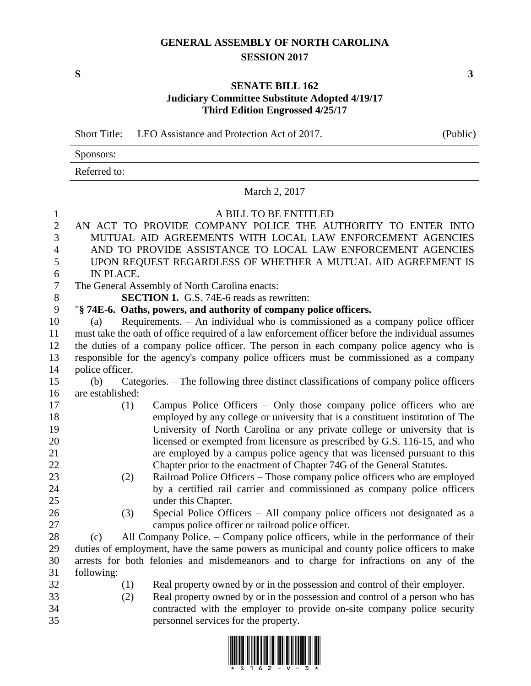## **GENERAL ASSEMBLY OF NORTH CAROLINA SESSION 2017**

## **SENATE BILL 162 Judiciary Committee Substitute Adopted 4/19/17 Third Edition Engrossed 4/25/17**

Short Title: LEO Assistance and Protection Act of 2017. (Public)

| Sponsors:    |  |
|--------------|--|
| Referred to: |  |

## March 2, 2017

## A BILL TO BE ENTITLED AN ACT TO PROVIDE COMPANY POLICE THE AUTHORITY TO ENTER INTO MUTUAL AID AGREEMENTS WITH LOCAL LAW ENFORCEMENT AGENCIES AND TO PROVIDE ASSISTANCE TO LOCAL LAW ENFORCEMENT AGENCIES UPON REQUEST REGARDLESS OF WHETHER A MUTUAL AID AGREEMENT IS IN PLACE. The General Assembly of North Carolina enacts: **SECTION 1.** G.S. 74E-6 reads as rewritten: "**§ 74E-6. Oaths, powers, and authority of company police officers.** (a) Requirements. – An individual who is commissioned as a company police officer must take the oath of office required of a law enforcement officer before the individual assumes the duties of a company police officer. The person in each company police agency who is responsible for the agency's company police officers must be commissioned as a company police officer. (b) Categories. – The following three distinct classifications of company police officers are established: (1) Campus Police Officers – Only those company police officers who are employed by any college or university that is a constituent institution of The University of North Carolina or any private college or university that is licensed or exempted from licensure as prescribed by G.S. 116-15, and who are employed by a campus police agency that was licensed pursuant to this Chapter prior to the enactment of Chapter 74G of the General Statutes. (2) Railroad Police Officers – Those company police officers who are employed by a certified rail carrier and commissioned as company police officers under this Chapter.

- 
- (3) Special Police Officers All company police officers not designated as a campus police officer or railroad police officer.

 (c) All Company Police. – Company police officers, while in the performance of their duties of employment, have the same powers as municipal and county police officers to make arrests for both felonies and misdemeanors and to charge for infractions on any of the following:

- 
- (1) Real property owned by or in the possession and control of their employer.
- (2) Real property owned by or in the possession and control of a person who has contracted with the employer to provide on-site company police security personnel services for the property.



**S 3**